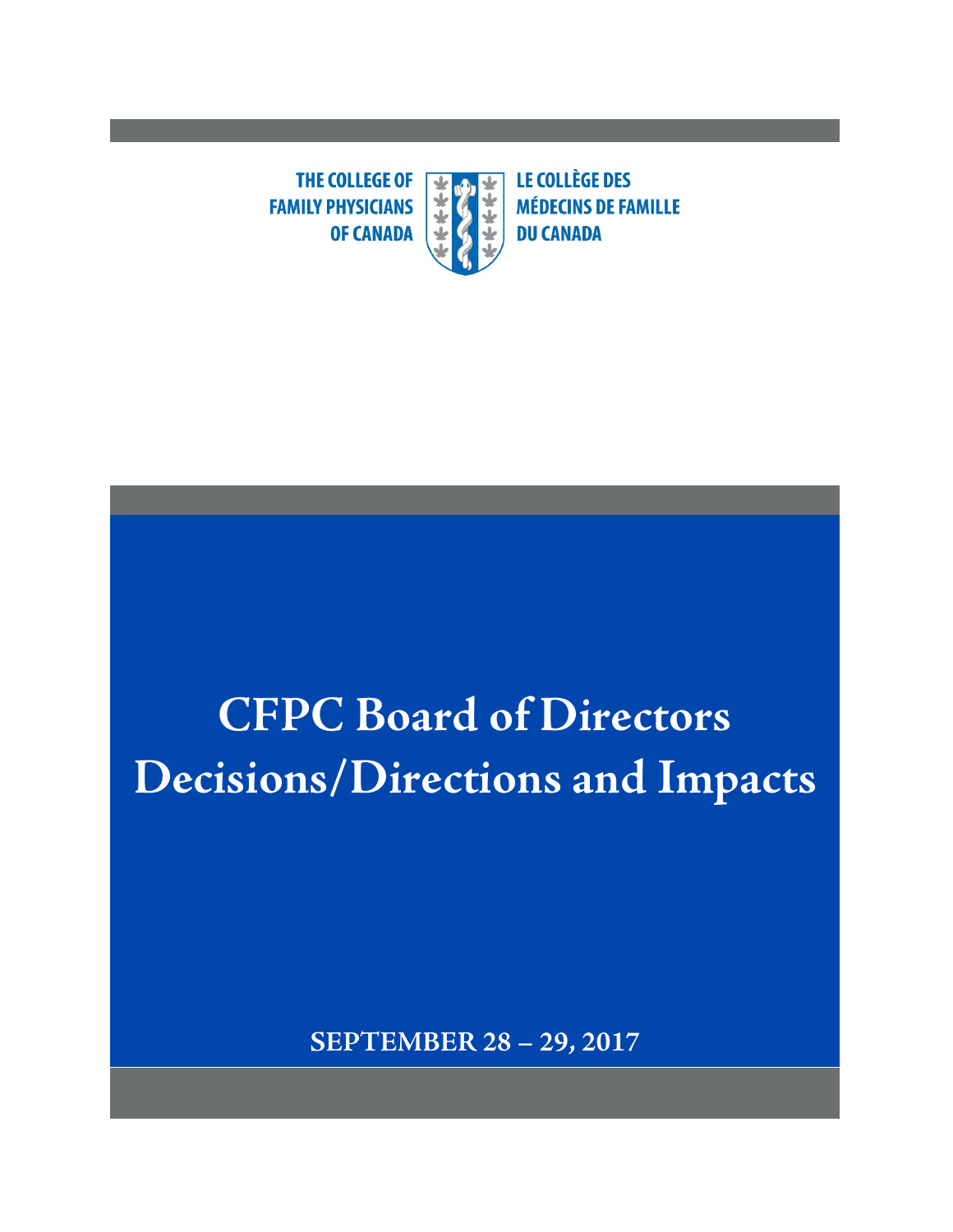**THE COLLEGE OF**  $\overline{\textbf{r}}$ **FAMILY PHYSICIANS OF CANADA** 

**LE COLLÈGE DES MÉDECINS DE FAMILLE DU CANADA** 

# **CFPC Board of Directors Decisions/Directions and Impacts**

**SEPTEMBER 28 – 29, 2017**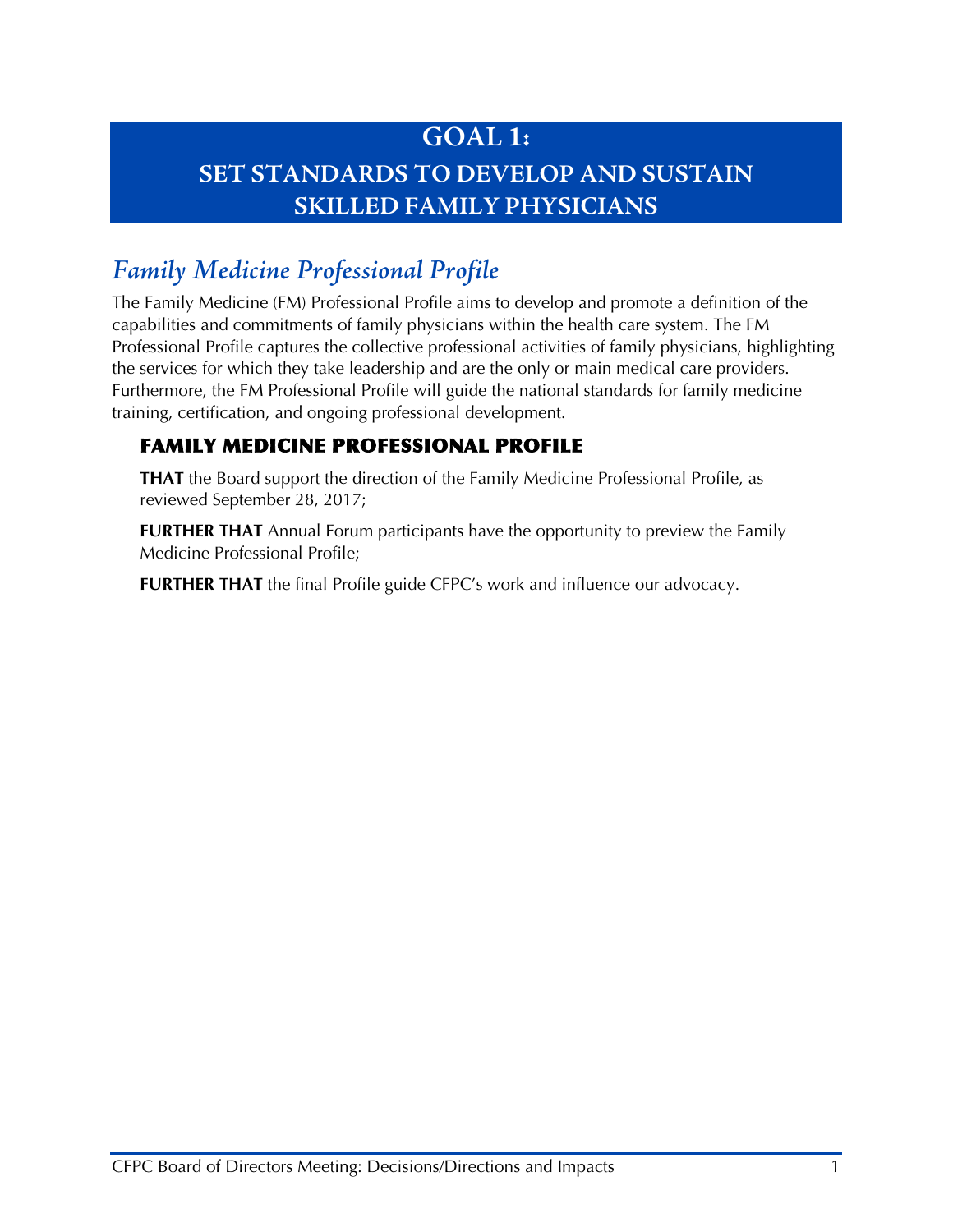## **GOAL 1: SET STANDARDS TO DEVELOP AND SUSTAIN SKILLED FAMILY PHYSICIANS**

## *Family Medicine Professional Profile*

The Family Medicine (FM) Professional Profile aims to develop and promote a definition of the capabilities and commitments of family physicians within the health care system. The FM Professional Profile captures the collective professional activities of family physicians, highlighting the services for which they take leadership and are the only or main medical care providers. Furthermore, the FM Professional Profile will guide the national standards for family medicine training, certification, and ongoing professional development.

#### FAMILY MEDICINE PROFESSIONAL PROFILE

**THAT** the Board support the direction of the Family Medicine Professional Profile, as reviewed September 28, 2017;

**FURTHER THAT** Annual Forum participants have the opportunity to preview the Family Medicine Professional Profile;

**FURTHER THAT** the final Profile guide CFPC's work and influence our advocacy.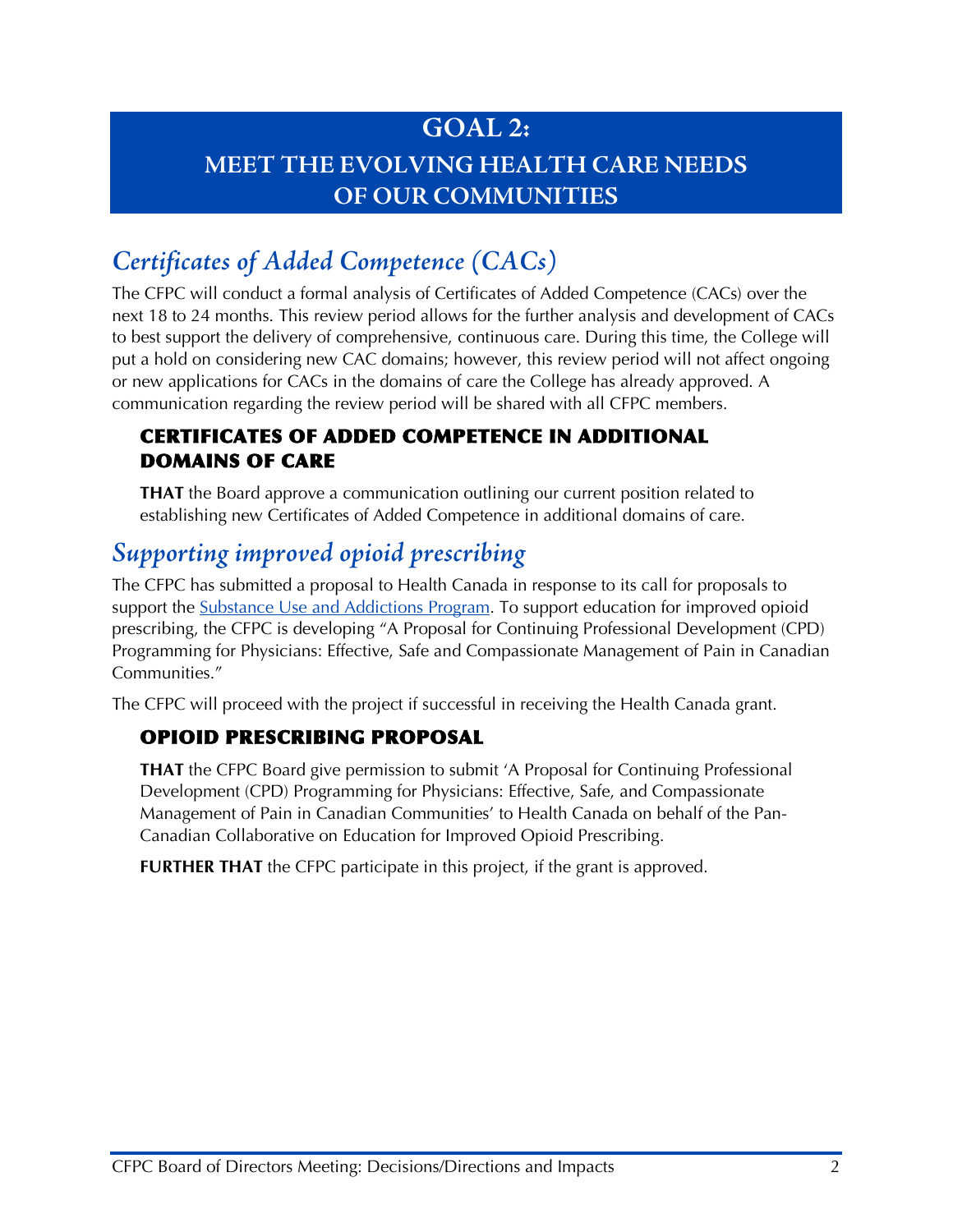## **GOAL 2: MEET THE EVOLVING HEALTH CARE NEEDS OF OUR COMMUNITIES**

## *Certificates of Added Competence (CACs)*

The CFPC will conduct a formal analysis of Certificates of Added Competence (CACs) over the next 18 to 24 months. This review period allows for the further analysis and development of CACs to best support the delivery of comprehensive, continuous care. During this time, the College will put a hold on considering new CAC domains; however, this review period will not affect ongoing or new applications for CACs in the domains of care the College has already approved. A communication regarding the review period will be shared with all CFPC members.

#### CERTIFICATES OF ADDED COMPETENCE IN ADDITIONAL DOMAINS OF CARE

**THAT** the Board approve a communication outlining our current position related to establishing new Certificates of Added Competence in additional domains of care.

## *Supporting improved opioid prescribing*

The CFPC has submitted a proposal to Health Canada in response to its call for proposals to support the [Substance Use and Addictions Program.](https://www.canada.ca/en/services/health/campaigns/canadian-drugs-substances-strategy/funding/substance-abuse-addictions-program.html) To support education for improved opioid prescribing, the CFPC is developing "A Proposal for Continuing Professional Development (CPD) Programming for Physicians: Effective, Safe and Compassionate Management of Pain in Canadian Communities."

The CFPC will proceed with the project if successful in receiving the Health Canada grant.

#### OPIOID PRESCRIBING PROPOSAL

**THAT** the CFPC Board give permission to submit 'A Proposal for Continuing Professional Development (CPD) Programming for Physicians: Effective, Safe, and Compassionate Management of Pain in Canadian Communities' to Health Canada on behalf of the Pan-Canadian Collaborative on Education for Improved Opioid Prescribing.

**FURTHER THAT** the CFPC participate in this project, if the grant is approved.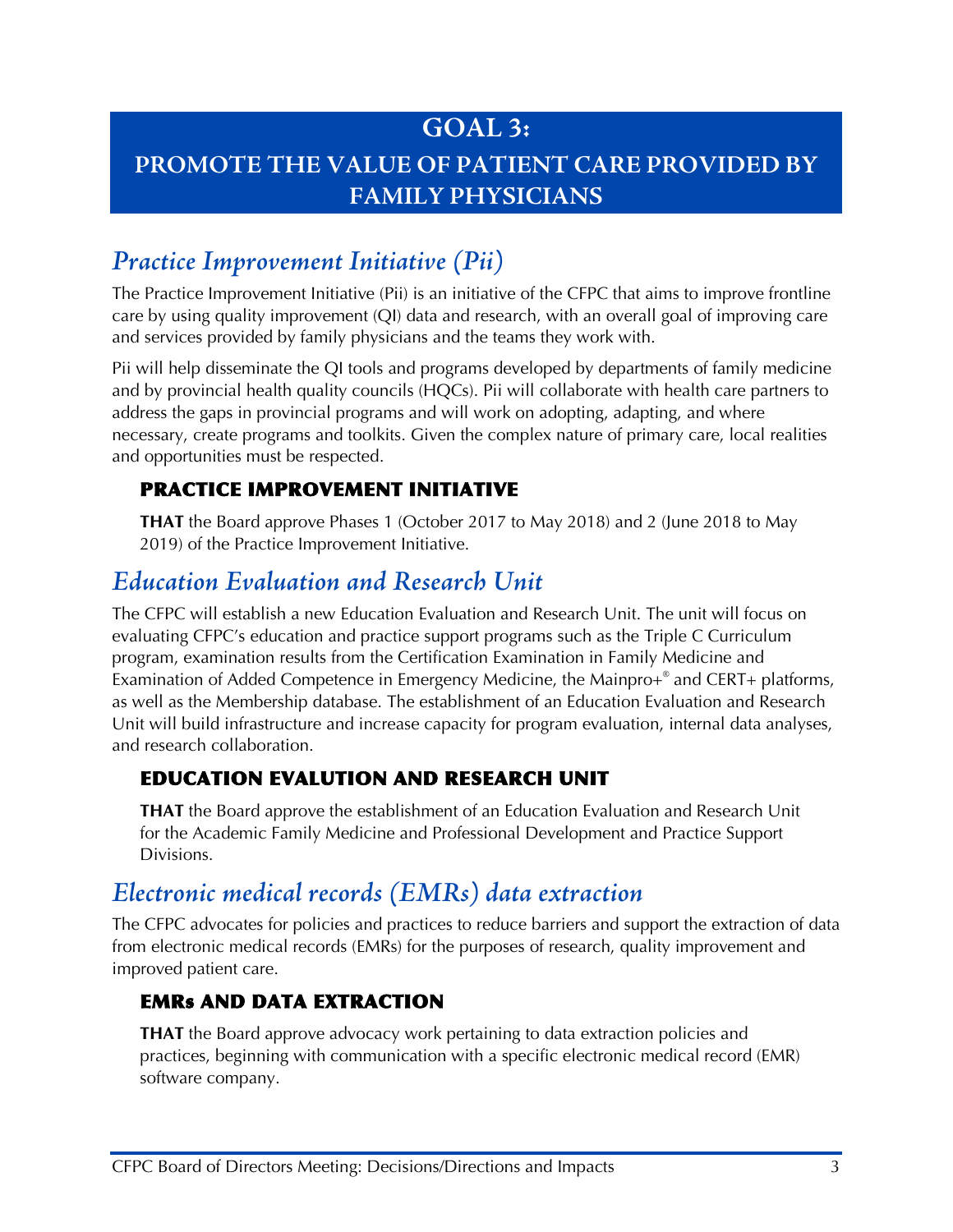## **GOAL 3:**

## **PROMOTE THE VALUE OF PATIENT CARE PROVIDED BY FAMILY PHYSICIANS**

## *Practice Improvement Initiative (Pii)*

The Practice Improvement Initiative (Pii) is an initiative of the CFPC that aims to improve frontline care by using quality improvement (QI) data and research, with an overall goal of improving care and services provided by family physicians and the teams they work with.

Pii will help disseminate the QI tools and programs developed by departments of family medicine and by provincial health quality councils (HQCs). Pii will collaborate with health care partners to address the gaps in provincial programs and will work on adopting, adapting, and where necessary, create programs and toolkits. Given the complex nature of primary care, local realities and opportunities must be respected.

#### PRACTICE IMPROVEMENT INITIATIVE

**THAT** the Board approve Phases 1 (October 2017 to May 2018) and 2 (June 2018 to May 2019) of the Practice Improvement Initiative.

## *Education Evaluation and Research Unit*

The CFPC will establish a new Education Evaluation and Research Unit. The unit will focus on evaluating CFPC's education and practice support programs such as the Triple C Curriculum program, examination results from the Certification Examination in Family Medicine and Examination of Added Competence in Emergency Medicine, the Mainpro+® and CERT+ platforms, as well as the Membership database. The establishment of an Education Evaluation and Research Unit will build infrastructure and increase capacity for program evaluation, internal data analyses, and research collaboration.

#### EDUCATION EVALUTION AND RESEARCH UNIT

**THAT** the Board approve the establishment of an Education Evaluation and Research Unit for the Academic Family Medicine and Professional Development and Practice Support Divisions.

## *Electronic medical records (EMRs) data extraction*

The CFPC advocates for policies and practices to reduce barriers and support the extraction of data from electronic medical records (EMRs) for the purposes of research, quality improvement and improved patient care.

#### EMRs AND DATA EXTRACTION

**THAT** the Board approve advocacy work pertaining to data extraction policies and practices, beginning with communication with a specific electronic medical record (EMR) software company.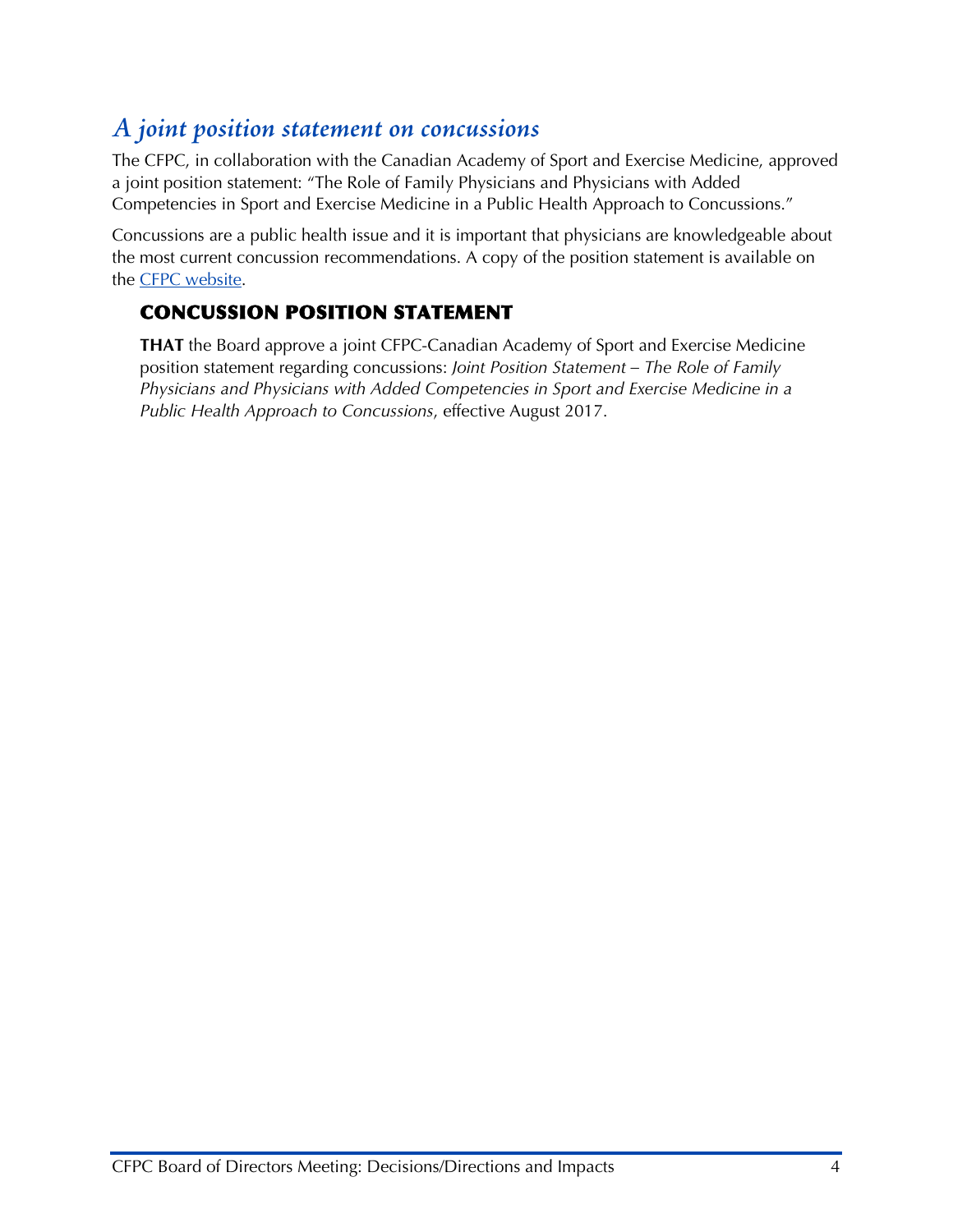## *A joint position statement on concussions*

The CFPC, in collaboration with the Canadian Academy of Sport and Exercise Medicine, approved a joint position statement: "The Role of Family Physicians and Physicians with Added Competencies in Sport and Exercise Medicine in a Public Health Approach to Concussions."

Concussions are a public health issue and it is important that physicians are knowledgeable about the most current concussion recommendations. A copy of the position statement is available on the [CFPC website.](http://www.cfpc.ca/uploadedFiles/Resources/Resource_Items/Health_Professionals/Joint%20Position%20statement_concussion_CFPC-CASEM-FINAL.pdf)

#### CONCUSSION POSITION STATEMENT

**THAT** the Board approve a joint CFPC-Canadian Academy of Sport and Exercise Medicine position statement regarding concussions: *Joint Position Statement – The Role of Family Physicians and Physicians with Added Competencies in Sport and Exercise Medicine in a Public Health Approach to Concussions*, effective August 2017.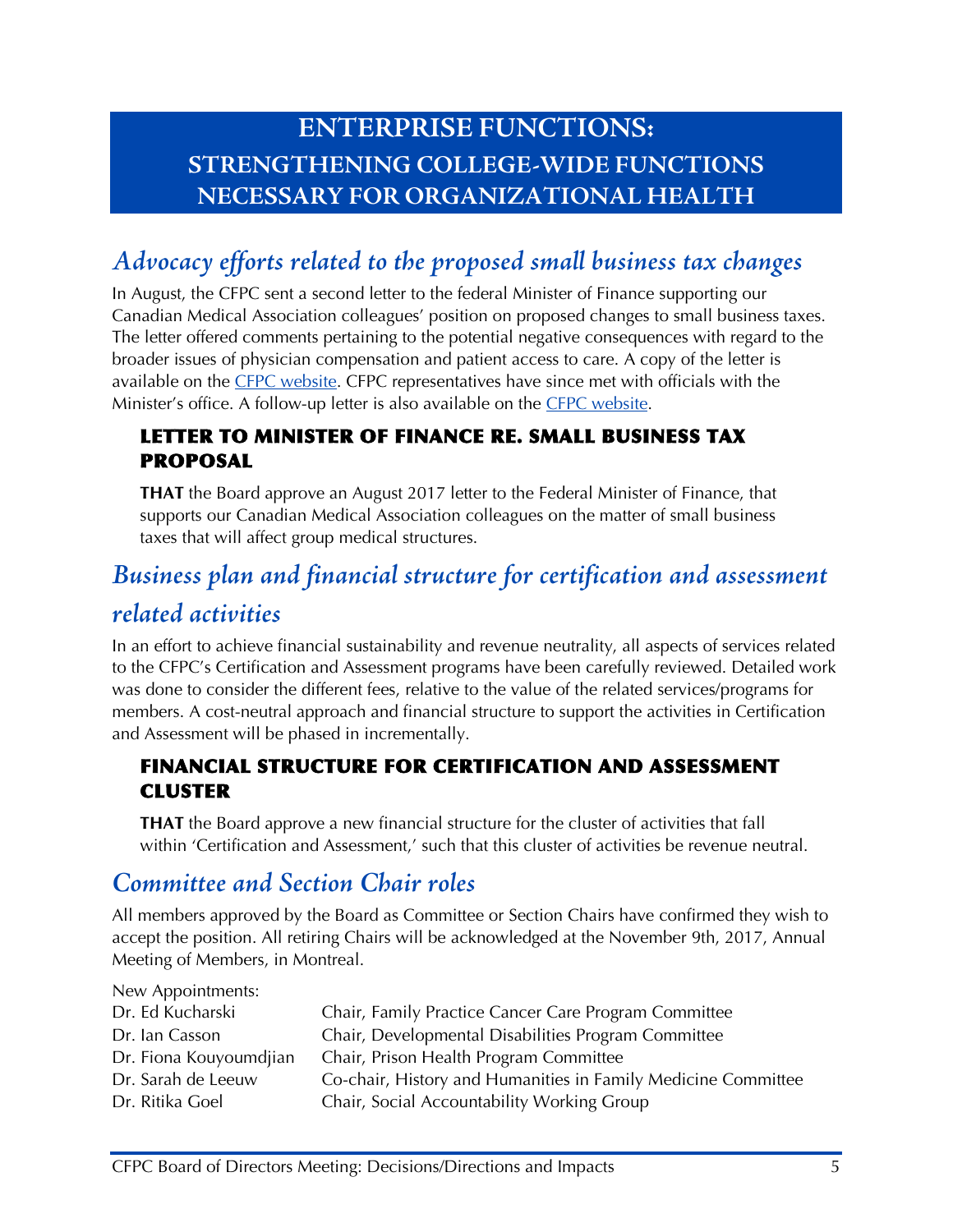## **ENTERPRISE FUNCTIONS: STRENGTHENING COLLEGE-WIDE FUNCTIONS NECESSARY FOR ORGANIZATIONAL HEALTH**

## *Advocacy efforts related to the proposed small business tax changes*

In August, the CFPC sent a second letter to the federal Minister of Finance supporting our Canadian Medical Association colleagues' position on proposed changes to small business taxes. The letter offered comments pertaining to the potential negative consequences with regard to the broader issues of physician compensation and patient access to care. A copy of the letter is available on the [CFPC website.](http://www.cfpc.ca/uploadedFiles/Health_Policy/_PDFs/Morneau_Small%20Business%20Tax_Aug%2028%202017.pdf) CFPC representatives have since met with officials with the Minister's office. A follow-up letter is also available on the [CFPC website.](http://www.cfpc.ca/uploadedFiles/Health_Policy/_PDFs/Thank%20you%20letter%20-%20Elliot%20Hughes.pdf)

#### LETTER TO MINISTER OF FINANCE RE. SMALL BUSINESS TAX PROPOSAL

**THAT** the Board approve an August 2017 letter to the Federal Minister of Finance, that supports our Canadian Medical Association colleagues on the matter of small business taxes that will affect group medical structures.

## *Business plan and financial structure for certification and assessment*

## *related activities*

In an effort to achieve financial sustainability and revenue neutrality, all aspects of services related to the CFPC's Certification and Assessment programs have been carefully reviewed. Detailed work was done to consider the different fees, relative to the value of the related services/programs for members. A cost-neutral approach and financial structure to support the activities in Certification and Assessment will be phased in incrementally.

#### FINANCIAL STRUCTURE FOR CERTIFICATION AND ASSESSMENT CLUSTER

**THAT** the Board approve a new financial structure for the cluster of activities that fall within 'Certification and Assessment,' such that this cluster of activities be revenue neutral.

## *Committee and Section Chair roles*

All members approved by the Board as Committee or Section Chairs have confirmed they wish to accept the position. All retiring Chairs will be acknowledged at the November 9th, 2017, Annual Meeting of Members, in Montreal.

| Co-chair, History and Humanities in Family Medicine Committee |
|---------------------------------------------------------------|
|                                                               |
|                                                               |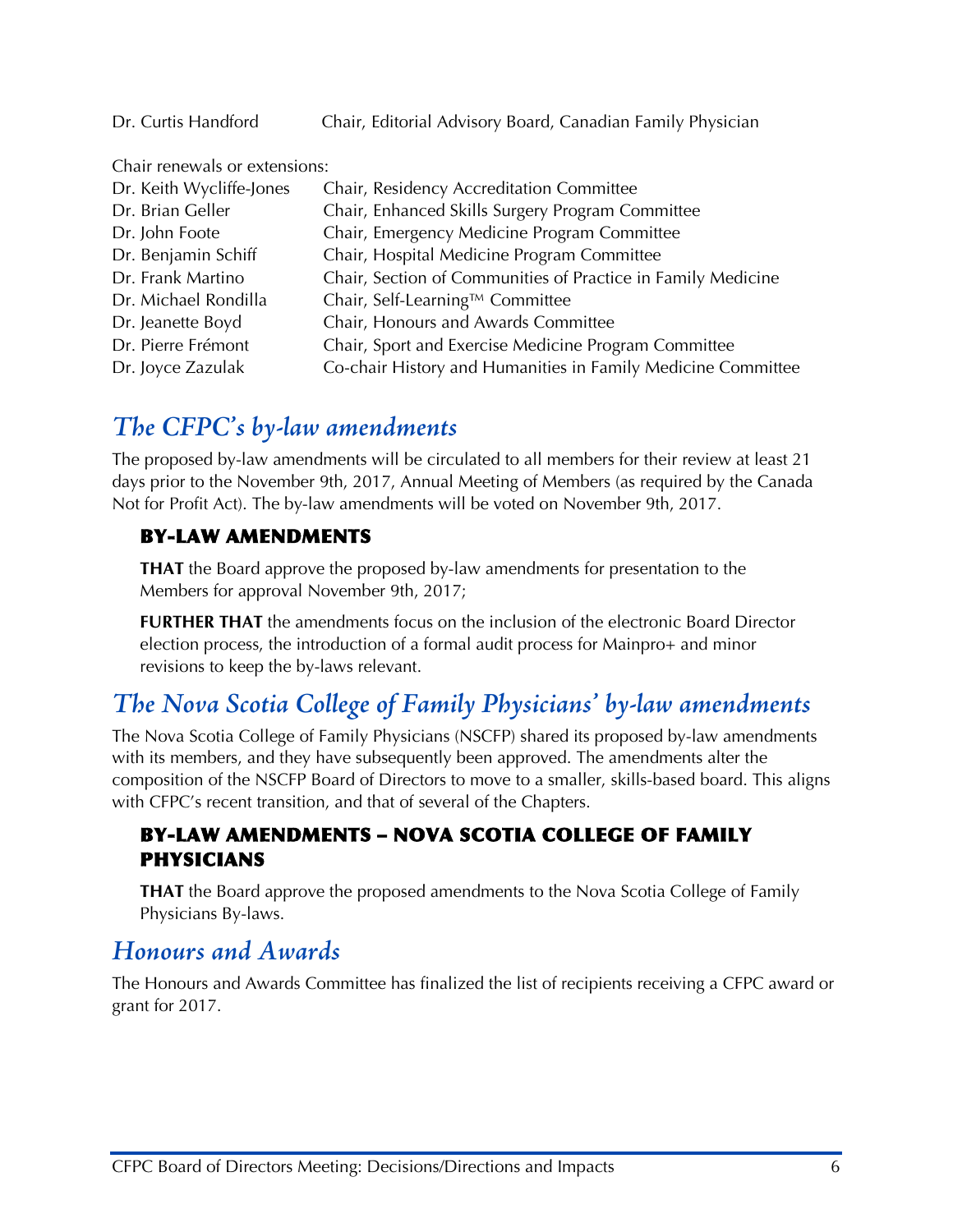Dr. Curtis Handford Chair, Editorial Advisory Board, Canadian Family Physician

Chair renewals or extensions: Dr. Keith Wycliffe-Jones Chair, Residency Accreditation Committee Dr. Brian Geller Chair, Enhanced Skills Surgery Program Committee Dr. John Foote Chair, Emergency Medicine Program Committee Dr. Benjamin Schiff Chair, Hospital Medicine Program Committee Dr. Frank Martino Chair, Section of Communities of Practice in Family Medicine Dr. Michael Rondilla Chair, Self-Learning™ Committee Dr. Jeanette Boyd Chair, Honours and Awards Committee Dr. Pierre Frémont Chair, Sport and Exercise Medicine Program Committee Dr. Joyce Zazulak Co-chair History and Humanities in Family Medicine Committee

## *The CFPC's by-law amendments*

The proposed by-law amendments will be circulated to all members for their review at least 21 days prior to the November 9th, 2017, Annual Meeting of Members (as required by the Canada Not for Profit Act). The by-law amendments will be voted on November 9th, 2017.

#### BY-LAW AMENDMENTS

**THAT** the Board approve the proposed by-law amendments for presentation to the Members for approval November 9th, 2017;

**FURTHER THAT** the amendments focus on the inclusion of the electronic Board Director election process, the introduction of a formal audit process for Mainpro+ and minor revisions to keep the by-laws relevant.

## *The Nova Scotia College of Family Physicians' by-law amendments*

The Nova Scotia College of Family Physicians (NSCFP) shared its proposed by-law amendments with its members, and they have subsequently been approved. The amendments alter the composition of the NSCFP Board of Directors to move to a smaller, skills-based board. This aligns with CFPC's recent transition, and that of several of the Chapters.

#### BY-LAW AMENDMENTS – NOVA SCOTIA COLLEGE OF FAMILY PHYSICIANS

**THAT** the Board approve the proposed amendments to the Nova Scotia College of Family Physicians By-laws.

## *Honours and Awards*

The Honours and Awards Committee has finalized the list of recipients receiving a CFPC award or grant for 2017.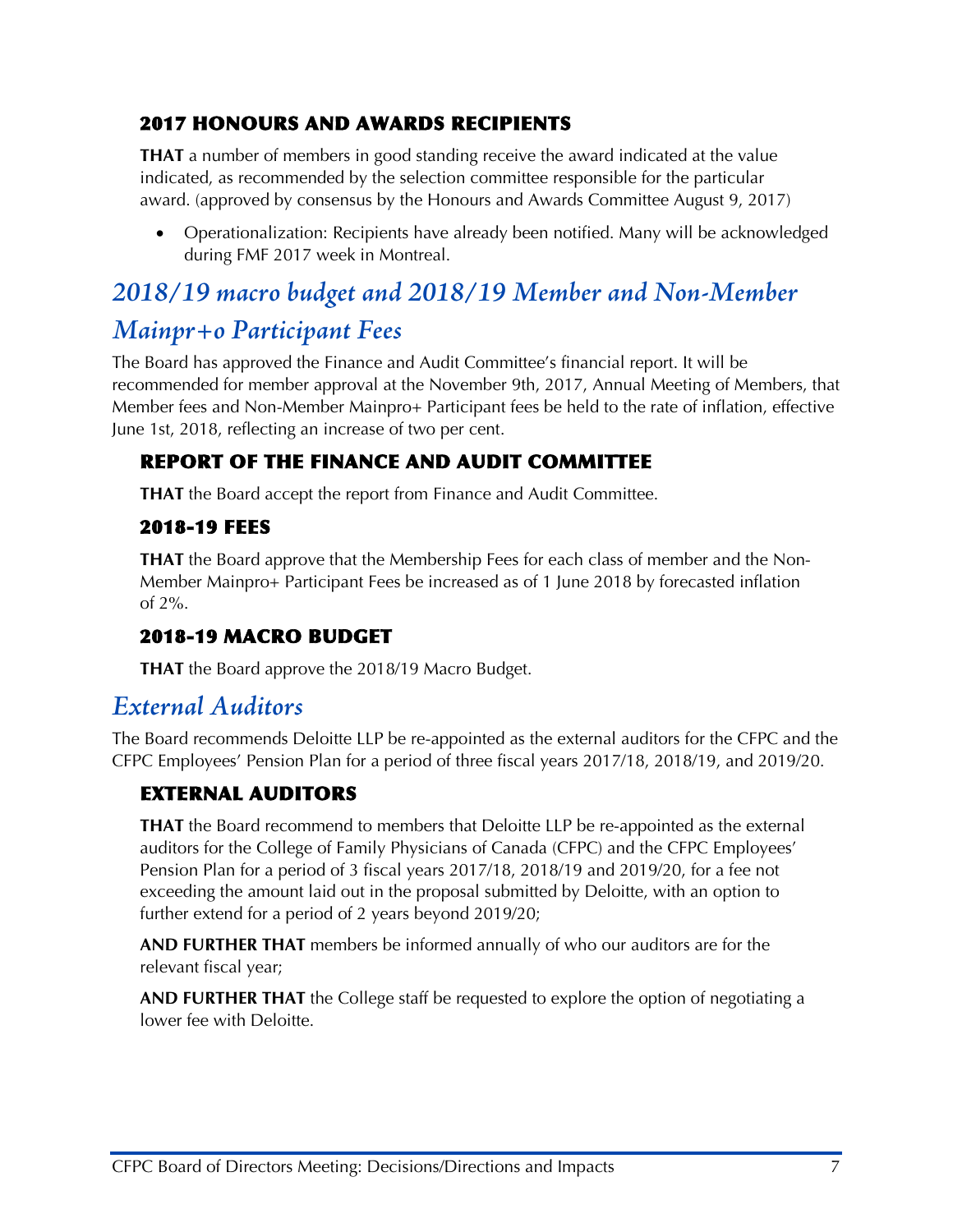#### 2017 HONOURS AND AWARDS RECIPIENTS

**THAT** a number of members in good standing receive the award indicated at the value indicated, as recommended by the selection committee responsible for the particular award. (approved by consensus by the Honours and Awards Committee August 9, 2017)

• Operationalization: Recipients have already been notified. Many will be acknowledged during FMF 2017 week in Montreal.

## *2018/19 macro budget and 2018/19 Member and Non-Member*

## *Mainpr+o Participant Fees*

The Board has approved the Finance and Audit Committee's financial report. It will be recommended for member approval at the November 9th, 2017, Annual Meeting of Members, that Member fees and Non-Member Mainpro+ Participant fees be held to the rate of inflation, effective June 1st, 2018, reflecting an increase of two per cent.

#### REPORT OF THE FINANCE AND AUDIT COMMITTEE

**THAT** the Board accept the report from Finance and Audit Committee.

#### 2018-19 FEES

**THAT** the Board approve that the Membership Fees for each class of member and the Non-Member Mainpro+ Participant Fees be increased as of 1 June 2018 by forecasted inflation of 2%.

#### 2018-19 MACRO BUDGET

**THAT** the Board approve the 2018/19 Macro Budget.

## *External Auditors*

The Board recommends Deloitte LLP be re-appointed as the external auditors for the CFPC and the CFPC Employees' Pension Plan for a period of three fiscal years 2017/18, 2018/19, and 2019/20.

#### EXTERNAL AUDITORS

**THAT** the Board recommend to members that Deloitte LLP be re-appointed as the external auditors for the College of Family Physicians of Canada (CFPC) and the CFPC Employees' Pension Plan for a period of 3 fiscal years 2017/18, 2018/19 and 2019/20, for a fee not exceeding the amount laid out in the proposal submitted by Deloitte, with an option to further extend for a period of 2 years beyond 2019/20;

**AND FURTHER THAT** members be informed annually of who our auditors are for the relevant fiscal year;

**AND FURTHER THAT** the College staff be requested to explore the option of negotiating a lower fee with Deloitte.